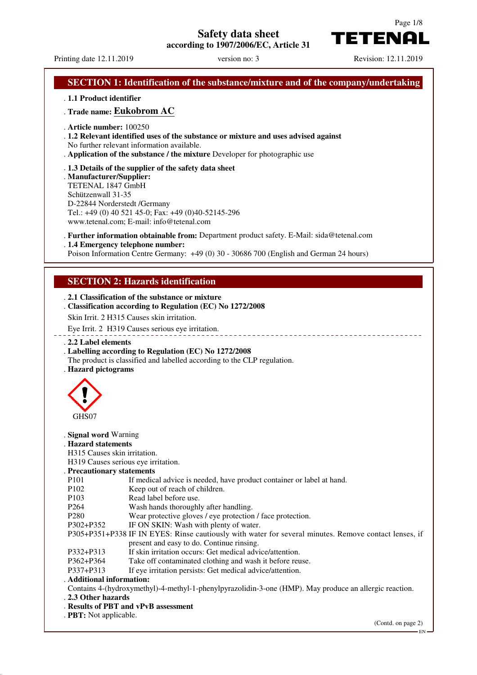# **Safety data sheet**

**according to 1907/2006/EC, Article 31**



Printing date 12.11.2019 version no: 3 Revision: 12.11.2019

TETENAI

. **1.1 Product identifier** . **Trade name: Eukobrom AC** . **Article number:** 100250 . **1.2 Relevant identified uses of the substance or mixture and uses advised against** No further relevant information available. . **Application of the substance / the mixture** Developer for photographic use . **1.3 Details of the supplier of the safety data sheet** . **Manufacturer/Supplier:** TETENAL 1847 GmbH Schützenwall 31-35 D-22844 Norderstedt /Germany Tel.: +49 (0) 40 521 45-0; Fax: +49 (0)40-52145-296 www.tetenal.com; E-mail: info@tetenal.com . **Further information obtainable from:** Department product safety. E-Mail: sida@tetenal.com . **1.4 Emergency telephone number:** Poison Information Centre Germany: +49 (0) 30 - 30686 700 (English and German 24 hours) **SECTION 2: Hazards identification** . **2.1 Classification of the substance or mixture** . **Classification according to Regulation (EC) No 1272/2008** Skin Irrit. 2 H315 Causes skin irritation. Eye Irrit. 2 H319 Causes serious eye irritation. . **2.2 Label elements** . **Labelling according to Regulation (EC) No 1272/2008** The product is classified and labelled according to the CLP regulation. . **Hazard pictograms** GHS07 . **Signal word** Warning . **Hazard statements** H315 Causes skin irritation. H319 Causes serious eye irritation. . **Precautionary statements** P101 If medical advice is needed, have product container or label at hand. P102 Keep out of reach of children. P103 Read label before use. P264 Wash hands thoroughly after handling. P280 Wear protective gloves / eye protection / face protection. P302+P352 IF ON SKIN: Wash with plenty of water. P305+P351+P338 IF IN EYES: Rinse cautiously with water for several minutes. Remove contact lenses, if present and easy to do. Continue rinsing. P332+P313 If skin irritation occurs: Get medical advice/attention. P362+P364 Take off contaminated clothing and wash it before reuse.<br>P337+P313 If eve irritation persists: Get medical advice/attention. If eye irritation persists: Get medical advice/attention. . **Additional information:** Contains 4-(hydroxymethyl)-4-methyl-1-phenylpyrazolidin-3-one (HMP). May produce an allergic reaction. . **2.3 Other hazards** . **Results of PBT and vPvB assessment** . **PBT:** Not applicable. (Contd. on page 2) EN

# **SECTION 1: Identification of the substance/mixture and of the company/undertaking**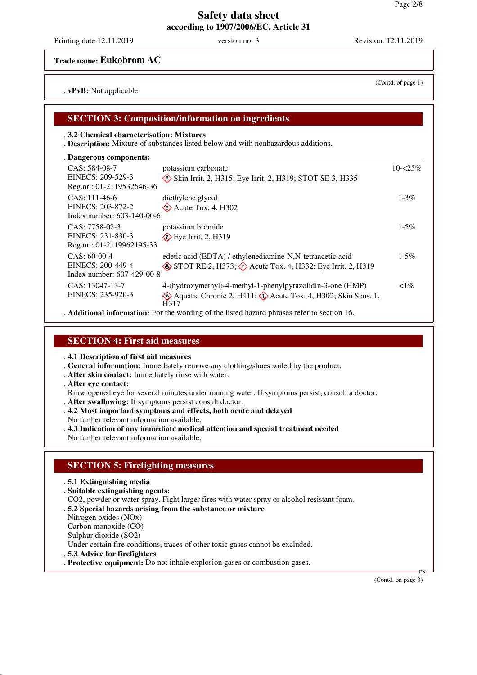**Trade name: Eukobrom AC**

. **vPvB:** Not applicable.

## **SECTION 3: Composition/information on ingredients**

#### . **3.2 Chemical characterisation: Mixtures**

. **Description:** Mixture of substances listed below and with nonhazardous additions.

| Dangerous components:                                              |                                                                                                                                                    |             |
|--------------------------------------------------------------------|----------------------------------------------------------------------------------------------------------------------------------------------------|-------------|
| CAS: 584-08-7<br>EINECS: 209-529-3<br>Reg.nr.: 01-2119532646-36    | potassium carbonate<br>$\Diamond$ Skin Irrit. 2, H315; Eye Irrit. 2, H319; STOT SE 3, H335                                                         | $10 - 25\%$ |
| $CAS: 111-46-6$<br>EINECS: 203-872-2<br>Index number: 603-140-00-6 | diethylene glycol<br>$\Diamond$ Acute Tox. 4, H302                                                                                                 | $1 - 3\%$   |
| CAS: 7758-02-3<br>EINECS: 231-830-3<br>Reg.nr.: 01-2119962195-33   | potassium bromide<br>$\diamond$ Eye Irrit. 2, H319                                                                                                 | $1 - 5\%$   |
| $CAS: 60-00-4$<br>EINECS: 200-449-4<br>Index number: 607-429-00-8  | edetic acid (EDTA) / ethylenediamine-N,N-tetraacetic acid<br>$\circ$ STOT RE 2, H373; $\circ$ Acute Tox. 4, H332; Eye Irrit. 2, H319               | $1 - 5\%$   |
| CAS: 13047-13-7<br>EINECS: 235-920-3                               | 4-(hydroxymethyl)-4-methyl-1-phenylpyrazolidin-3-one (HMP)<br>Aquatic Chronic 2, H411; $\langle \rangle$ Acute Tox. 4, H302; Skin Sens. 1,<br>H317 | $1\%$       |
|                                                                    | A different information. For the wording of the light housed phroges refer to contion 16                                                           |             |

. **Additional information:** For the wording of the listed hazard phrases refer to section 16.

### **SECTION 4: First aid measures**

. **4.1 Description of first aid measures**

. **General information:** Immediately remove any clothing/shoes soiled by the product.

- . **After skin contact:** Immediately rinse with water.
- . **After eye contact:**
- Rinse opened eye for several minutes under running water. If symptoms persist, consult a doctor.
- . **After swallowing:** If symptoms persist consult doctor.
- . **4.2 Most important symptoms and effects, both acute and delayed**
- No further relevant information available.
- . **4.3 Indication of any immediate medical attention and special treatment needed**

No further relevant information available.

## **SECTION 5: Firefighting measures**

#### . **5.1 Extinguishing media**

. **Suitable extinguishing agents:**

CO2, powder or water spray. Fight larger fires with water spray or alcohol resistant foam.

. **5.2 Special hazards arising from the substance or mixture**

Nitrogen oxides (NOx)

Carbon monoxide (CO)

Sulphur dioxide (SO2)

Under certain fire conditions, traces of other toxic gases cannot be excluded.

- . **5.3 Advice for firefighters**
- . **Protective equipment:** Do not inhale explosion gases or combustion gases.

(Contd. on page 3)

EN

(Contd. of page 1)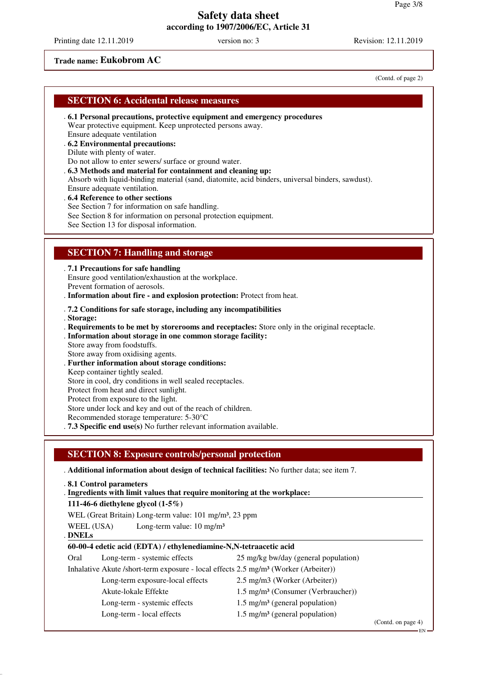Printing date 12.11.2019 version no: 3 Revision: 12.11.2019

## **Trade name: Eukobrom AC**

(Contd. of page 2)

| <b>SECTION 6: Accidental release measures</b> |  |  |  |
|-----------------------------------------------|--|--|--|
|-----------------------------------------------|--|--|--|

- . **6.1 Personal precautions, protective equipment and emergency procedures** Wear protective equipment. Keep unprotected persons away. Ensure adequate ventilation
- . **6.2 Environmental precautions:**

Dilute with plenty of water.

Do not allow to enter sewers/ surface or ground water.

- . **6.3 Methods and material for containment and cleaning up:** Absorb with liquid-binding material (sand, diatomite, acid binders, universal binders, sawdust).
- Ensure adequate ventilation.
- . **6.4 Reference to other sections**
- See Section 7 for information on safe handling.
- See Section 8 for information on personal protection equipment.

See Section 13 for disposal information.

## **SECTION 7: Handling and storage**

. **7.1 Precautions for safe handling**

Ensure good ventilation/exhaustion at the workplace. Prevent formation of aerosols.

. **Information about fire - and explosion protection:** Protect from heat.

#### . **7.2 Conditions for safe storage, including any incompatibilities**

- . **Storage:**
- . **Requirements to be met by storerooms and receptacles:** Store only in the original receptacle. . **Information about storage in one common storage facility:**
- Store away from foodstuffs.
- Store away from oxidising agents.
- . **Further information about storage conditions:**
- Keep container tightly sealed. Store in cool, dry conditions in well sealed receptacles.
- Protect from heat and direct sunlight.
- Protect from exposure to the light.

Store under lock and key and out of the reach of children.

Recommended storage temperature: 5-30°C

. **7.3 Specific end use(s)** No further relevant information available.

## **SECTION 8: Exposure controls/personal protection**

. **Additional information about design of technical facilities:** No further data; see item 7.

- . **8.1 Control parameters**
- . Ingredients with limit values that require monitoring at the workplace:
- **111-46-6 diethylene glycol (1-5%)**
- WEL (Great Britain) Long-term value: 101 mg/m<sup>3</sup>, 23 ppm
- WEEL (USA) Long-term value: 10 mg/m<sup>3</sup>

**DNELs** .

### **60-00-4 edetic acid (EDTA) / ethylenediamine-N,N-tetraacetic acid**

Oral Long-term - systemic effects 25 mg/kg bw/day (general population) Inhalative Akute /short-term exposure - local effects 2.5 mg/m<sup>3</sup> (Worker (Arbeiter)) Long-term exposure-local effects 2.5 mg/m3 (Worker (Arbeiter)) Akute-lokale Effekte 1.5 mg/m<sup>3</sup> (Consumer (Verbraucher)) Long-term - systemic effects  $1.5 \text{ mg/m}^3$  (general population) Long-term - local effects 1.5 mg/m<sup>3</sup> (general population)

(Contd. on page 4)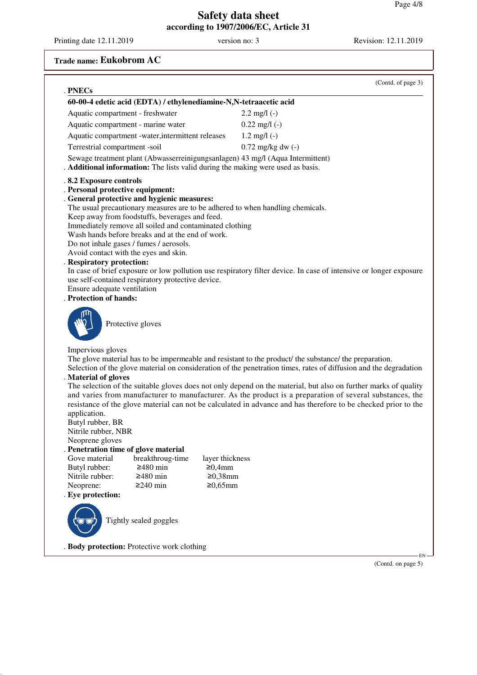Printing date 12.11.2019 version no: 3 Revision: 12.11.2019

# **Trade name: Eukobrom AC**

| . PNECs                                                                                                                                                                                                                                                                                                                                                                                                                                                                                                                                                                                          |                 | (Contd. of page 3)                                                                                                                                                                                                                                                                                                                                                                                                                                                                                                                                                           |
|--------------------------------------------------------------------------------------------------------------------------------------------------------------------------------------------------------------------------------------------------------------------------------------------------------------------------------------------------------------------------------------------------------------------------------------------------------------------------------------------------------------------------------------------------------------------------------------------------|-----------------|------------------------------------------------------------------------------------------------------------------------------------------------------------------------------------------------------------------------------------------------------------------------------------------------------------------------------------------------------------------------------------------------------------------------------------------------------------------------------------------------------------------------------------------------------------------------------|
| 60-00-4 edetic acid (EDTA) / ethylenediamine-N,N-tetraacetic acid                                                                                                                                                                                                                                                                                                                                                                                                                                                                                                                                |                 |                                                                                                                                                                                                                                                                                                                                                                                                                                                                                                                                                                              |
|                                                                                                                                                                                                                                                                                                                                                                                                                                                                                                                                                                                                  |                 |                                                                                                                                                                                                                                                                                                                                                                                                                                                                                                                                                                              |
| Aquatic compartment - freshwater                                                                                                                                                                                                                                                                                                                                                                                                                                                                                                                                                                 |                 | $2.2 \text{ mg/l}$ (-)                                                                                                                                                                                                                                                                                                                                                                                                                                                                                                                                                       |
| Aquatic compartment - marine water                                                                                                                                                                                                                                                                                                                                                                                                                                                                                                                                                               |                 | $0.22$ mg/l $(-)$                                                                                                                                                                                                                                                                                                                                                                                                                                                                                                                                                            |
| Aquatic compartment -water, intermittent releases                                                                                                                                                                                                                                                                                                                                                                                                                                                                                                                                                |                 | $1.2 \text{ mg/l}$ (-)                                                                                                                                                                                                                                                                                                                                                                                                                                                                                                                                                       |
| Terrestrial compartment -soil                                                                                                                                                                                                                                                                                                                                                                                                                                                                                                                                                                    |                 | $0.72 \text{ mg/kg}$ dw $(-)$                                                                                                                                                                                                                                                                                                                                                                                                                                                                                                                                                |
| Sewage treatment plant (Abwasserreinigungsanlagen) 43 mg/l (Aqua Intermittent)<br>Additional information: The lists valid during the making were used as basis.                                                                                                                                                                                                                                                                                                                                                                                                                                  |                 |                                                                                                                                                                                                                                                                                                                                                                                                                                                                                                                                                                              |
| .8.2 Exposure controls<br>. Personal protective equipment:<br>. General protective and hygienic measures:<br>The usual precautionary measures are to be adhered to when handling chemicals.<br>Keep away from foodstuffs, beverages and feed.<br>Immediately remove all soiled and contaminated clothing<br>Wash hands before breaks and at the end of work.<br>Do not inhale gases / fumes / aerosols.<br>Avoid contact with the eyes and skin.<br>. Respiratory protection:<br>use self-contained respiratory protective device.<br>Ensure adequate ventilation<br><b>Protection of hands:</b> |                 | In case of brief exposure or low pollution use respiratory filter device. In case of intensive or longer exposure                                                                                                                                                                                                                                                                                                                                                                                                                                                            |
| Protective gloves                                                                                                                                                                                                                                                                                                                                                                                                                                                                                                                                                                                |                 |                                                                                                                                                                                                                                                                                                                                                                                                                                                                                                                                                                              |
| Impervious gloves<br>. Material of gloves<br>application.<br>Butyl rubber, BR<br>Nitrile rubber, NBR<br>Neoprene gloves                                                                                                                                                                                                                                                                                                                                                                                                                                                                          |                 | The glove material has to be impermeable and resistant to the product/ the substance/ the preparation.<br>Selection of the glove material on consideration of the penetration times, rates of diffusion and the degradation<br>The selection of the suitable gloves does not only depend on the material, but also on further marks of quality<br>and varies from manufacturer to manufacturer. As the product is a preparation of several substances, the<br>resistance of the glove material can not be calculated in advance and has therefore to be checked prior to the |
| . Penetration time of glove material                                                                                                                                                                                                                                                                                                                                                                                                                                                                                                                                                             |                 |                                                                                                                                                                                                                                                                                                                                                                                                                                                                                                                                                                              |
| Gove material<br>breakthroug-time                                                                                                                                                                                                                                                                                                                                                                                                                                                                                                                                                                | layer thickness |                                                                                                                                                                                                                                                                                                                                                                                                                                                                                                                                                                              |
| Butyl rubber:<br>$≥480$ min                                                                                                                                                                                                                                                                                                                                                                                                                                                                                                                                                                      | ≥0,4mm          |                                                                                                                                                                                                                                                                                                                                                                                                                                                                                                                                                                              |
| Nitrile rubber:<br>$≥480$ min                                                                                                                                                                                                                                                                                                                                                                                                                                                                                                                                                                    | $≥0,38$ mm      |                                                                                                                                                                                                                                                                                                                                                                                                                                                                                                                                                                              |
| Neoprene:<br>$≥240$ min                                                                                                                                                                                                                                                                                                                                                                                                                                                                                                                                                                          | $≥0,65mm$       |                                                                                                                                                                                                                                                                                                                                                                                                                                                                                                                                                                              |
| Eye protection:                                                                                                                                                                                                                                                                                                                                                                                                                                                                                                                                                                                  |                 |                                                                                                                                                                                                                                                                                                                                                                                                                                                                                                                                                                              |
| Tightly sealed goggles                                                                                                                                                                                                                                                                                                                                                                                                                                                                                                                                                                           |                 |                                                                                                                                                                                                                                                                                                                                                                                                                                                                                                                                                                              |
| . Body protection: Protective work clothing                                                                                                                                                                                                                                                                                                                                                                                                                                                                                                                                                      |                 |                                                                                                                                                                                                                                                                                                                                                                                                                                                                                                                                                                              |

(Contd. on page 5)

EN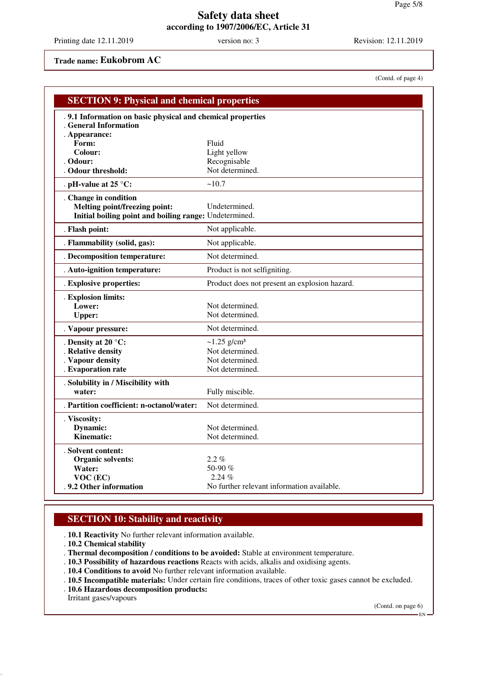Printing date 12.11.2019 version no: 3 Revision: 12.11.2019

## **Trade name: Eukobrom AC**

(Contd. of page 4)

| <b>SECTION 9: Physical and chemical properties</b>         |                                               |
|------------------------------------------------------------|-----------------------------------------------|
| .9.1 Information on basic physical and chemical properties |                                               |
| . General Information                                      |                                               |
| . Appearance:                                              |                                               |
| Form:                                                      | Fluid                                         |
| Colour:<br>Odour:                                          | Light yellow                                  |
| Odour threshold:                                           | Recognisable<br>Not determined.               |
|                                                            | ~10.7                                         |
| . pH-value at 25 $^{\circ}$ C:                             |                                               |
| . Change in condition                                      |                                               |
| <b>Melting point/freezing point:</b>                       | Undetermined.                                 |
| Initial boiling point and boiling range: Undetermined.     |                                               |
| . Flash point:                                             | Not applicable.                               |
| . Flammability (solid, gas):                               | Not applicable.                               |
| . Decomposition temperature:                               | Not determined.                               |
| . Auto-ignition temperature:                               | Product is not selfigniting.                  |
| . Explosive properties:                                    | Product does not present an explosion hazard. |
| . Explosion limits:                                        |                                               |
| Lower:                                                     | Not determined.                               |
| <b>Upper:</b>                                              | Not determined.                               |
| . Vapour pressure:                                         | Not determined.                               |
| . Density at 20 °C:                                        | $\sim$ 1.25 g/cm <sup>3</sup>                 |
| . Relative density                                         | Not determined.                               |
| . Vapour density                                           | Not determined.                               |
| . Evaporation rate                                         | Not determined.                               |
| . Solubility in / Miscibility with                         |                                               |
| water:                                                     | Fully miscible.                               |
| . Partition coefficient: n-octanol/water:                  | Not determined.                               |
| . Viscosity:                                               |                                               |
| Dynamic:                                                   | Not determined.                               |
| <b>Kinematic:</b>                                          | Not determined.                               |
| . Solvent content:                                         |                                               |
| <b>Organic solvents:</b>                                   | $2.2\%$                                       |
| Water:                                                     | 50-90 %                                       |
| VOC (EC)                                                   | 2.24%                                         |
| .9.2 Other information                                     | No further relevant information available.    |

## **SECTION 10: Stability and reactivity**

. **10.1 Reactivity** No further relevant information available.

- . **10.2 Chemical stability**
- . **Thermal decomposition / conditions to be avoided:** Stable at environment temperature.
- . **10.3 Possibility of hazardous reactions** Reacts with acids, alkalis and oxidising agents.
- . **10.4 Conditions to avoid** No further relevant information available.
- . **10.5 Incompatible materials:** Under certain fire conditions, traces of other toxic gases cannot be excluded.
- . **10.6 Hazardous decomposition products:**

Irritant gases/vapours

(Contd. on page 6) EN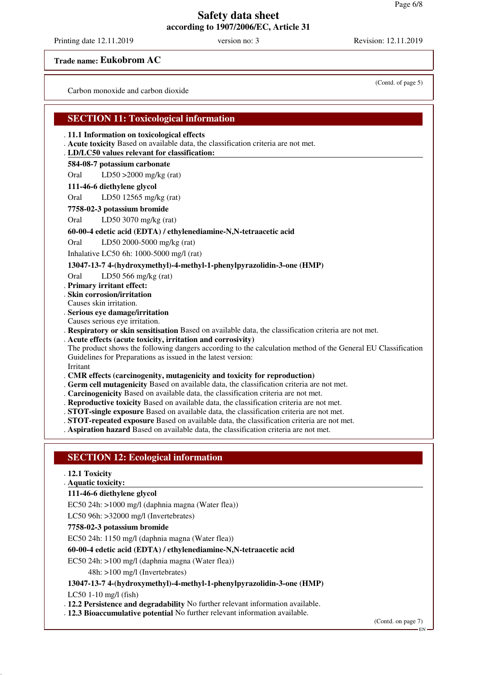Printing date 12.11.2019 version no: 3 Revision: 12.11.2019

**Trade name: Eukobrom AC**

Carbon monoxide and carbon dioxide

## **SECTION 11: Toxicological information**

. **11.1 Information on toxicological effects**

- . **Acute toxicity** Based on available data, the classification criteria are not met.
- **LD/LC50 values relevant for classification:** .

#### **584-08-7 potassium carbonate**

Oral LD50 >2000 mg/kg (rat)

#### **111-46-6 diethylene glycol**

Oral LD50 12565 mg/kg (rat)

#### **7758-02-3 potassium bromide**

Oral LD50 3070 mg/kg (rat)

#### **60-00-4 edetic acid (EDTA) / ethylenediamine-N,N-tetraacetic acid**

Oral LD50 2000-5000 mg/kg (rat)

Inhalative LC50 6h: 1000-5000 mg/l (rat)

### **13047-13-7 4-(hydroxymethyl)-4-methyl-1-phenylpyrazolidin-3-one (HMP)**

Oral LD50 566 mg/kg (rat)

. **Primary irritant effect:**

. **Skin corrosion/irritation**

Causes skin irritation.

. **Serious eye damage/irritation**

Causes serious eye irritation.

. **Respiratory or skin sensitisation** Based on available data, the classification criteria are not met.

. **Acute effects (acute toxicity, irritation and corrosivity)**

The product shows the following dangers according to the calculation method of the General EU Classification Guidelines for Preparations as issued in the latest version: Irritant

#### . **CMR effects (carcinogenity, mutagenicity and toxicity for reproduction)**

- . **Germ cell mutagenicity** Based on available data, the classification criteria are not met.
- . **Carcinogenicity** Based on available data, the classification criteria are not met.
- . **Reproductive toxicity** Based on available data, the classification criteria are not met.
- . **STOT-single exposure** Based on available data, the classification criteria are not met.
- . **STOT-repeated exposure** Based on available data, the classification criteria are not met.
- . **Aspiration hazard** Based on available data, the classification criteria are not met.

## **SECTION 12: Ecological information**

### . **12.1 Toxicity**

**Aquatic toxicity:** .

### **111-46-6 diethylene glycol**

EC50 24h: >1000 mg/l (daphnia magna (Water flea))

LC50 96h: >32000 mg/l (Invertebrates)

#### **7758-02-3 potassium bromide**

EC50 24h: 1150 mg/l (daphnia magna (Water flea))

### **60-00-4 edetic acid (EDTA) / ethylenediamine-N,N-tetraacetic acid**

EC50 24h: >100 mg/l (daphnia magna (Water flea))

48h: >100 mg/l (Invertebrates)

### **13047-13-7 4-(hydroxymethyl)-4-methyl-1-phenylpyrazolidin-3-one (HMP)**

LC50 1-10 mg/l (fish)

. **12.2 Persistence and degradability** No further relevant information available.

. **12.3 Bioaccumulative potential** No further relevant information available.

(Contd. on page 7)

(Contd. of page 5)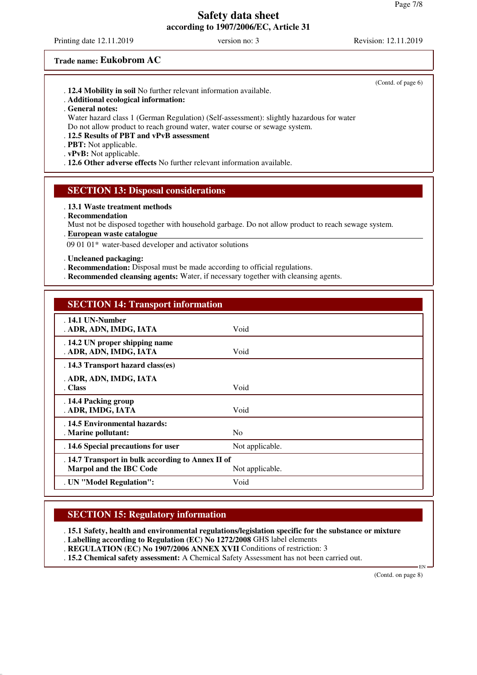Printing date 12.11.2019 version no: 3 Revision: 12.11.2019

#### **Trade name: Eukobrom AC**

| . 12.4 Mobility in soil No further relevant information available. |  |
|--------------------------------------------------------------------|--|
|--------------------------------------------------------------------|--|

- . **Additional ecological information:**
- . **General notes:**

Water hazard class 1 (German Regulation) (Self-assessment): slightly hazardous for water Do not allow product to reach ground water, water course or sewage system.

. **12.5 Results of PBT and vPvB assessment**

. **PBT:** Not applicable.

. **vPvB:** Not applicable.

. **12.6 Other adverse effects** No further relevant information available.

### **SECTION 13: Disposal considerations**

. **13.1 Waste treatment methods**

. **Recommendation**

Must not be disposed together with household garbage. Do not allow product to reach sewage system.

**European waste catalogue** .

09 01 01\* water-based developer and activator solutions

. **Uncleaned packaging:**

- . **Recommendation:** Disposal must be made according to official regulations.
- . **Recommended cleansing agents:** Water, if necessary together with cleansing agents.

#### **SECTION 14: Transport information**

| . 14.1 UN-Number<br>. ADR, ADN, IMDG, IATA                                                             | Void            |  |
|--------------------------------------------------------------------------------------------------------|-----------------|--|
| . 14.2 UN proper shipping name<br>. ADR, ADN, IMDG, IATA                                               | Void            |  |
| . 14.3 Transport hazard class(es)                                                                      |                 |  |
| . ADR, ADN, IMDG, IATA<br>. Class                                                                      | Void            |  |
| . 14.4 Packing group<br>. ADR, IMDG, IATA                                                              | Void            |  |
| . 14.5 Environmental hazards:<br>. Marine pollutant:                                                   | N <sub>0</sub>  |  |
| . 14.6 Special precautions for user                                                                    | Not applicable. |  |
| . 14.7 Transport in bulk according to Annex II of<br><b>Marpol and the IBC Code</b><br>Not applicable. |                 |  |
| . UN "Model Regulation":                                                                               | Void            |  |

## **SECTION 15: Regulatory information**

. **15.1 Safety, health and environmental regulations/legislation specific for the substance or mixture** . **Labelling according to Regulation (EC) No 1272/2008** GHS label elements

. **REGULATION (EC) No 1907/2006 ANNEX XVII** Conditions of restriction: 3

. **15.2 Chemical safety assessment:** A Chemical Safety Assessment has not been carried out.

(Contd. on page 8)

EN

(Contd. of page 6)